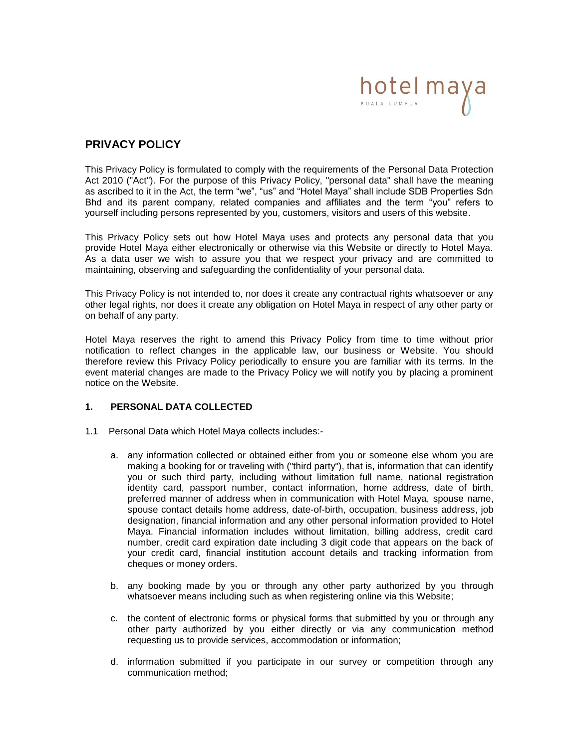

# **PRIVACY POLICY**

This Privacy Policy is formulated to comply with the requirements of the Personal Data Protection Act 2010 ("Act"). For the purpose of this Privacy Policy, "personal data" shall have the meaning as ascribed to it in the Act, the term "we", "us" and "Hotel Maya" shall include SDB Properties Sdn Bhd and its parent company, related companies and affiliates and the term "you" refers to yourself including persons represented by you, customers, visitors and users of this website.

This Privacy Policy sets out how Hotel Maya uses and protects any personal data that you provide Hotel Maya either electronically or otherwise via this Website or directly to Hotel Maya. As a data user we wish to assure you that we respect your privacy and are committed to maintaining, observing and safeguarding the confidentiality of your personal data.

This Privacy Policy is not intended to, nor does it create any contractual rights whatsoever or any other legal rights, nor does it create any obligation on Hotel Maya in respect of any other party or on behalf of any party.

Hotel Maya reserves the right to amend this Privacy Policy from time to time without prior notification to reflect changes in the applicable law, our business or Website. You should therefore review this Privacy Policy periodically to ensure you are familiar with its terms. In the event material changes are made to the Privacy Policy we will notify you by placing a prominent notice on the Website.

### **1. PERSONAL DATA COLLECTED**

- 1.1 Personal Data which Hotel Maya collects includes:
	- a. any information collected or obtained either from you or someone else whom you are making a booking for or traveling with ("third party"), that is, information that can identify you or such third party, including without limitation full name, national registration identity card, passport number, contact information, home address, date of birth, preferred manner of address when in communication with Hotel Maya, spouse name, spouse contact details home address, date-of-birth, occupation, business address, job designation, financial information and any other personal information provided to Hotel Maya. Financial information includes without limitation, billing address, credit card number, credit card expiration date including 3 digit code that appears on the back of your credit card, financial institution account details and tracking information from cheques or money orders.
	- b. any booking made by you or through any other party authorized by you through whatsoever means including such as when registering online via this Website;
	- c. the content of electronic forms or physical forms that submitted by you or through any other party authorized by you either directly or via any communication method requesting us to provide services, accommodation or information;
	- d. information submitted if you participate in our survey or competition through any communication method;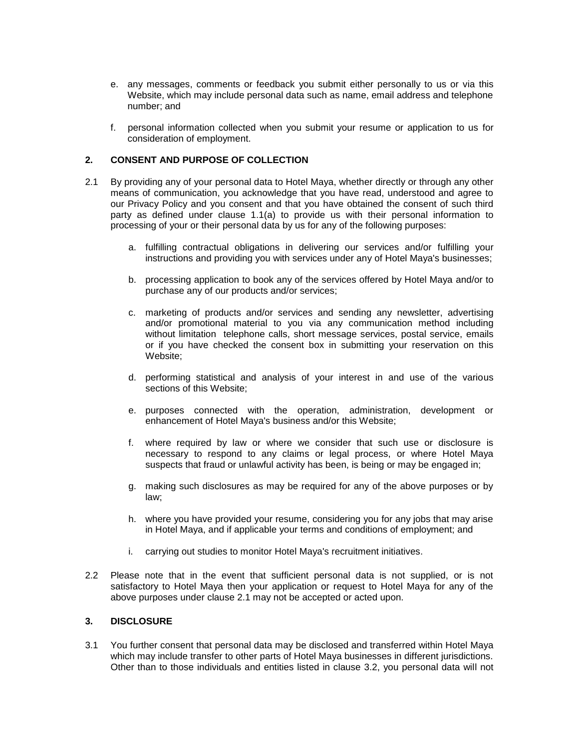- e. any messages, comments or feedback you submit either personally to us or via this Website, which may include personal data such as name, email address and telephone number; and
- f. personal information collected when you submit your resume or application to us for consideration of employment.

### **2. CONSENT AND PURPOSE OF COLLECTION**

- 2.1 By providing any of your personal data to Hotel Maya, whether directly or through any other means of communication, you acknowledge that you have read, understood and agree to our Privacy Policy and you consent and that you have obtained the consent of such third party as defined under clause 1.1(a) to provide us with their personal information to processing of your or their personal data by us for any of the following purposes:
	- a. fulfilling contractual obligations in delivering our services and/or fulfilling your instructions and providing you with services under any of Hotel Maya's businesses;
	- b. processing application to book any of the services offered by Hotel Maya and/or to purchase any of our products and/or services;
	- c. marketing of products and/or services and sending any newsletter, advertising and/or promotional material to you via any communication method including without limitation telephone calls, short message services, postal service, emails or if you have checked the consent box in submitting your reservation on this Website;
	- d. performing statistical and analysis of your interest in and use of the various sections of this Website;
	- e. purposes connected with the operation, administration, development or enhancement of Hotel Maya's business and/or this Website;
	- f. where required by law or where we consider that such use or disclosure is necessary to respond to any claims or legal process, or where Hotel Maya suspects that fraud or unlawful activity has been, is being or may be engaged in;
	- g. making such disclosures as may be required for any of the above purposes or by law;
	- h. where you have provided your resume, considering you for any jobs that may arise in Hotel Maya, and if applicable your terms and conditions of employment; and
	- i. carrying out studies to monitor Hotel Maya's recruitment initiatives.
- 2.2 Please note that in the event that sufficient personal data is not supplied, or is not satisfactory to Hotel Maya then your application or request to Hotel Maya for any of the above purposes under clause 2.1 may not be accepted or acted upon.

### **3. DISCLOSURE**

3.1 You further consent that personal data may be disclosed and transferred within Hotel Maya which may include transfer to other parts of Hotel Maya businesses in different jurisdictions. Other than to those individuals and entities listed in clause 3.2, you personal data will not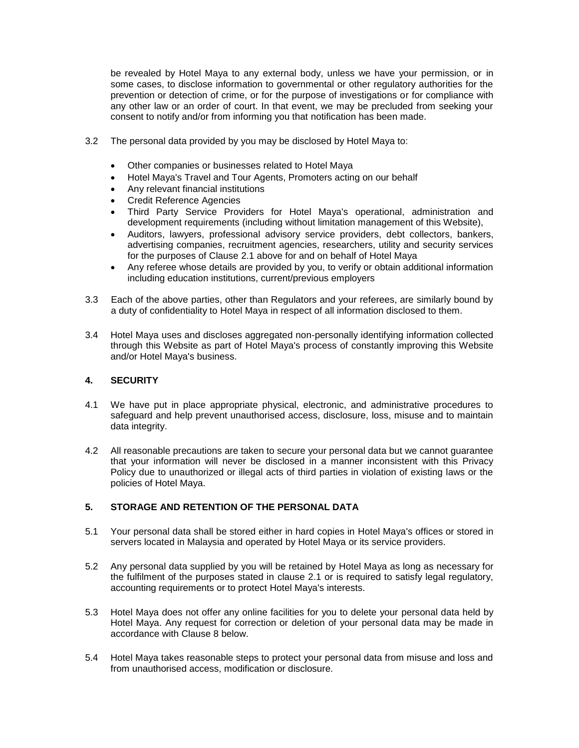be revealed by Hotel Maya to any external body, unless we have your permission, or in some cases, to disclose information to governmental or other regulatory authorities for the prevention or detection of crime, or for the purpose of investigations or for compliance with any other law or an order of court. In that event, we may be precluded from seeking your consent to notify and/or from informing you that notification has been made.

- 3.2 The personal data provided by you may be disclosed by Hotel Maya to:
	- Other companies or businesses related to Hotel Maya
	- Hotel Maya's Travel and Tour Agents, Promoters acting on our behalf
	- Any relevant financial institutions
	- Credit Reference Agencies
	- Third Party Service Providers for Hotel Maya's operational, administration and development requirements (including without limitation management of this Website),
	- Auditors, lawyers, professional advisory service providers, debt collectors, bankers, advertising companies, recruitment agencies, researchers, utility and security services for the purposes of Clause 2.1 above for and on behalf of Hotel Maya
	- Any referee whose details are provided by you, to verify or obtain additional information including education institutions, current/previous employers
- 3.3 Each of the above parties, other than Regulators and your referees, are similarly bound by a duty of confidentiality to Hotel Maya in respect of all information disclosed to them.
- 3.4 Hotel Maya uses and discloses aggregated non-personally identifying information collected through this Website as part of Hotel Maya's process of constantly improving this Website and/or Hotel Maya's business.

### **4. SECURITY**

- 4.1 We have put in place appropriate physical, electronic, and administrative procedures to safeguard and help prevent unauthorised access, disclosure, loss, misuse and to maintain data integrity.
- 4.2 All reasonable precautions are taken to secure your personal data but we cannot guarantee that your information will never be disclosed in a manner inconsistent with this Privacy Policy due to unauthorized or illegal acts of third parties in violation of existing laws or the policies of Hotel Maya.

# **5. STORAGE AND RETENTION OF THE PERSONAL DATA**

- 5.1 Your personal data shall be stored either in hard copies in Hotel Maya's offices or stored in servers located in Malaysia and operated by Hotel Maya or its service providers.
- 5.2 Any personal data supplied by you will be retained by Hotel Maya as long as necessary for the fulfilment of the purposes stated in clause 2.1 or is required to satisfy legal regulatory, accounting requirements or to protect Hotel Maya's interests.
- 5.3 Hotel Maya does not offer any online facilities for you to delete your personal data held by Hotel Maya. Any request for correction or deletion of your personal data may be made in accordance with Clause 8 below.
- 5.4 Hotel Maya takes reasonable steps to protect your personal data from misuse and loss and from unauthorised access, modification or disclosure.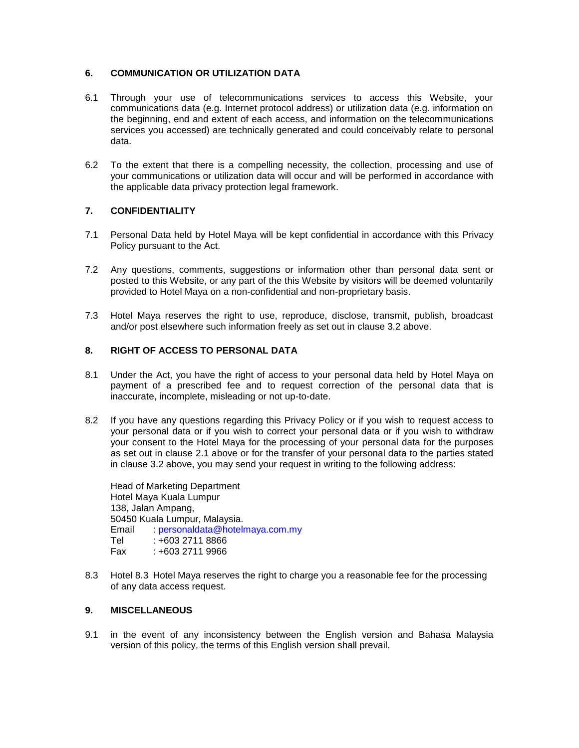## **6. COMMUNICATION OR UTILIZATION DATA**

- 6.1 Through your use of telecommunications services to access this Website, your communications data (e.g. Internet protocol address) or utilization data (e.g. information on the beginning, end and extent of each access, and information on the telecommunications services you accessed) are technically generated and could conceivably relate to personal data.
- 6.2 To the extent that there is a compelling necessity, the collection, processing and use of your communications or utilization data will occur and will be performed in accordance with the applicable data privacy protection legal framework.

## **7. CONFIDENTIALITY**

- 7.1 Personal Data held by Hotel Maya will be kept confidential in accordance with this Privacy Policy pursuant to the Act.
- 7.2 Any questions, comments, suggestions or information other than personal data sent or posted to this Website, or any part of the this Website by visitors will be deemed voluntarily provided to Hotel Maya on a non-confidential and non-proprietary basis.
- 7.3 Hotel Maya reserves the right to use, reproduce, disclose, transmit, publish, broadcast and/or post elsewhere such information freely as set out in clause 3.2 above.

### **8. RIGHT OF ACCESS TO PERSONAL DATA**

- 8.1 Under the Act, you have the right of access to your personal data held by Hotel Maya on payment of a prescribed fee and to request correction of the personal data that is inaccurate, incomplete, misleading or not up-to-date.
- 8.2 If you have any questions regarding this Privacy Policy or if you wish to request access to your personal data or if you wish to correct your personal data or if you wish to withdraw your consent to the Hotel Maya for the processing of your personal data for the purposes as set out in clause 2.1 above or for the transfer of your personal data to the parties stated in clause 3.2 above, you may send your request in writing to the following address:

Head of Marketing Department Hotel Maya Kuala Lumpur 138, Jalan Ampang, 50450 Kuala Lumpur, Malaysia. Email : personaldata@hotelmaya.com.my Tel : +603 2711 8866 Fax : +603 2711 9966

8.3 Hotel 8.3 Hotel Maya reserves the right to charge you a reasonable fee for the processing of any data access request.

# **9. MISCELLANEOUS**

9.1 in the event of any inconsistency between the English version and Bahasa Malaysia version of this policy, the terms of this English version shall prevail.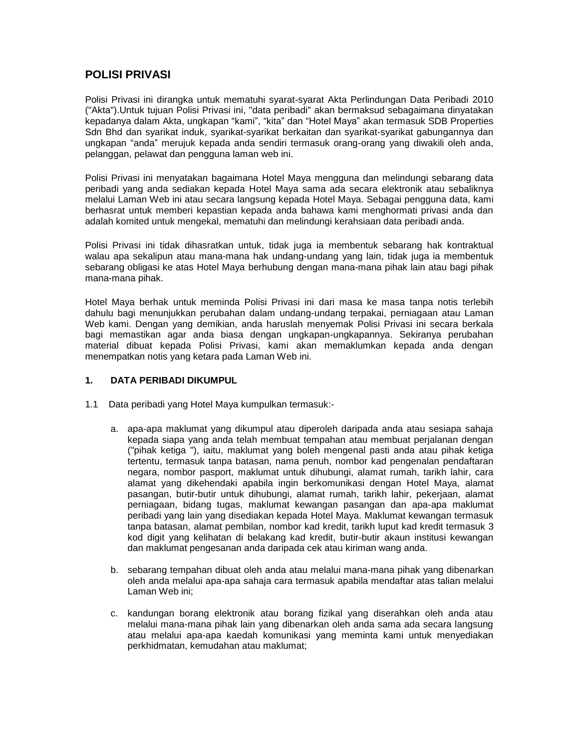# **POLISI PRIVASI**

Polisi Privasi ini dirangka untuk mematuhi syarat-syarat Akta Perlindungan Data Peribadi 2010 ("Akta").Untuk tujuan Polisi Privasi ini, "data peribadi" akan bermaksud sebagaimana dinyatakan kepadanya dalam Akta, ungkapan "kami", "kita" dan "Hotel Maya" akan termasuk SDB Properties Sdn Bhd dan syarikat induk, syarikat-syarikat berkaitan dan syarikat-syarikat gabungannya dan ungkapan "anda" merujuk kepada anda sendiri termasuk orang-orang yang diwakili oleh anda, pelanggan, pelawat dan pengguna laman web ini.

Polisi Privasi ini menyatakan bagaimana Hotel Maya mengguna dan melindungi sebarang data peribadi yang anda sediakan kepada Hotel Maya sama ada secara elektronik atau sebaliknya melalui Laman Web ini atau secara langsung kepada Hotel Maya. Sebagai pengguna data, kami berhasrat untuk memberi kepastian kepada anda bahawa kami menghormati privasi anda dan adalah komited untuk mengekal, mematuhi dan melindungi kerahsiaan data peribadi anda.

Polisi Privasi ini tidak dihasratkan untuk, tidak juga ia membentuk sebarang hak kontraktual walau apa sekalipun atau mana-mana hak undang-undang yang lain, tidak juga ia membentuk sebarang obligasi ke atas Hotel Maya berhubung dengan mana-mana pihak lain atau bagi pihak mana-mana pihak.

Hotel Maya berhak untuk meminda Polisi Privasi ini dari masa ke masa tanpa notis terlebih dahulu bagi menunjukkan perubahan dalam undang-undang terpakai, perniagaan atau Laman Web kami. Dengan yang demikian, anda haruslah menyemak Polisi Privasi ini secara berkala bagi memastikan agar anda biasa dengan ungkapan-ungkapannya. Sekiranya perubahan material dibuat kepada Polisi Privasi, kami akan memaklumkan kepada anda dengan menempatkan notis yang ketara pada Laman Web ini.

### **1. DATA PERIBADI DIKUMPUL**

- 1.1 Data peribadi yang Hotel Maya kumpulkan termasuk:
	- a. apa-apa maklumat yang dikumpul atau diperoleh daripada anda atau sesiapa sahaja kepada siapa yang anda telah membuat tempahan atau membuat perjalanan dengan ("pihak ketiga "), iaitu, maklumat yang boleh mengenal pasti anda atau pihak ketiga tertentu, termasuk tanpa batasan, nama penuh, nombor kad pengenalan pendaftaran negara, nombor pasport, maklumat untuk dihubungi, alamat rumah, tarikh lahir, cara alamat yang dikehendaki apabila ingin berkomunikasi dengan Hotel Maya, alamat pasangan, butir-butir untuk dihubungi, alamat rumah, tarikh lahir, pekerjaan, alamat perniagaan, bidang tugas, maklumat kewangan pasangan dan apa-apa maklumat peribadi yang lain yang disediakan kepada Hotel Maya. Maklumat kewangan termasuk tanpa batasan, alamat pembilan, nombor kad kredit, tarikh luput kad kredit termasuk 3 kod digit yang kelihatan di belakang kad kredit, butir-butir akaun institusi kewangan dan maklumat pengesanan anda daripada cek atau kiriman wang anda.
	- b. sebarang tempahan dibuat oleh anda atau melalui mana-mana pihak yang dibenarkan oleh anda melalui apa-apa sahaja cara termasuk apabila mendaftar atas talian melalui Laman Web ini;
	- c. kandungan borang elektronik atau borang fizikal yang diserahkan oleh anda atau melalui mana-mana pihak lain yang dibenarkan oleh anda sama ada secara langsung atau melalui apa-apa kaedah komunikasi yang meminta kami untuk menyediakan perkhidmatan, kemudahan atau maklumat;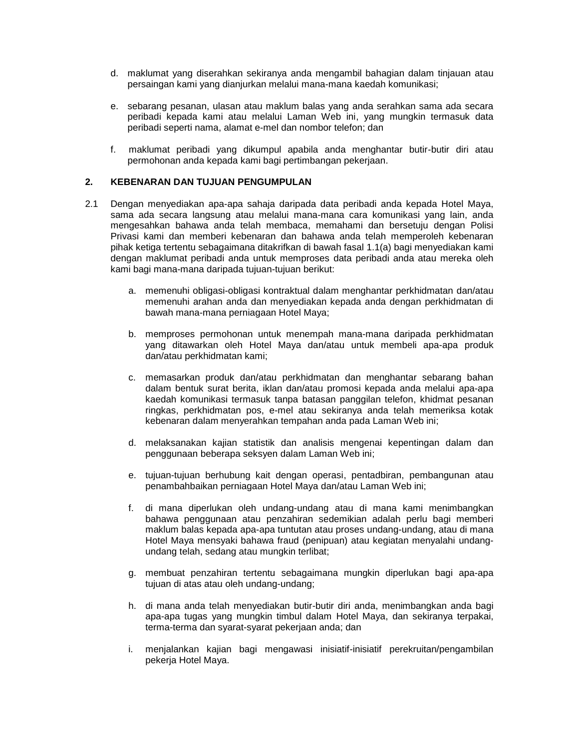- d. maklumat yang diserahkan sekiranya anda mengambil bahagian dalam tinjauan atau persaingan kami yang dianjurkan melalui mana-mana kaedah komunikasi;
- e. sebarang pesanan, ulasan atau maklum balas yang anda serahkan sama ada secara peribadi kepada kami atau melalui Laman Web ini, yang mungkin termasuk data peribadi seperti nama, alamat e-mel dan nombor telefon; dan
- f. maklumat peribadi yang dikumpul apabila anda menghantar butir-butir diri atau permohonan anda kepada kami bagi pertimbangan pekerjaan.

## **2. KEBENARAN DAN TUJUAN PENGUMPULAN**

- 2.1 Dengan menyediakan apa-apa sahaja daripada data peribadi anda kepada Hotel Maya, sama ada secara langsung atau melalui mana-mana cara komunikasi yang lain, anda mengesahkan bahawa anda telah membaca, memahami dan bersetuju dengan Polisi Privasi kami dan memberi kebenaran dan bahawa anda telah memperoleh kebenaran pihak ketiga tertentu sebagaimana ditakrifkan di bawah fasal 1.1(a) bagi menyediakan kami dengan maklumat peribadi anda untuk memproses data peribadi anda atau mereka oleh kami bagi mana-mana daripada tujuan-tujuan berikut:
	- a. memenuhi obligasi-obligasi kontraktual dalam menghantar perkhidmatan dan/atau memenuhi arahan anda dan menyediakan kepada anda dengan perkhidmatan di bawah mana-mana perniagaan Hotel Maya;
	- b. memproses permohonan untuk menempah mana-mana daripada perkhidmatan yang ditawarkan oleh Hotel Maya dan/atau untuk membeli apa-apa produk dan/atau perkhidmatan kami;
	- c. memasarkan produk dan/atau perkhidmatan dan menghantar sebarang bahan dalam bentuk surat berita, iklan dan/atau promosi kepada anda melalui apa-apa kaedah komunikasi termasuk tanpa batasan panggilan telefon, khidmat pesanan ringkas, perkhidmatan pos, e-mel atau sekiranya anda telah memeriksa kotak kebenaran dalam menyerahkan tempahan anda pada Laman Web ini;
	- d. melaksanakan kajian statistik dan analisis mengenai kepentingan dalam dan penggunaan beberapa seksyen dalam Laman Web ini;
	- e. tujuan-tujuan berhubung kait dengan operasi, pentadbiran, pembangunan atau penambahbaikan perniagaan Hotel Maya dan/atau Laman Web ini;
	- f. di mana diperlukan oleh undang-undang atau di mana kami menimbangkan bahawa penggunaan atau penzahiran sedemikian adalah perlu bagi memberi maklum balas kepada apa-apa tuntutan atau proses undang-undang, atau di mana Hotel Maya mensyaki bahawa fraud (penipuan) atau kegiatan menyalahi undangundang telah, sedang atau mungkin terlibat;
	- g. membuat penzahiran tertentu sebagaimana mungkin diperlukan bagi apa-apa tujuan di atas atau oleh undang-undang;
	- h. di mana anda telah menyediakan butir-butir diri anda, menimbangkan anda bagi apa-apa tugas yang mungkin timbul dalam Hotel Maya, dan sekiranya terpakai, terma-terma dan syarat-syarat pekerjaan anda; dan
	- i. menjalankan kajian bagi mengawasi inisiatif-inisiatif perekruitan/pengambilan pekerja Hotel Maya.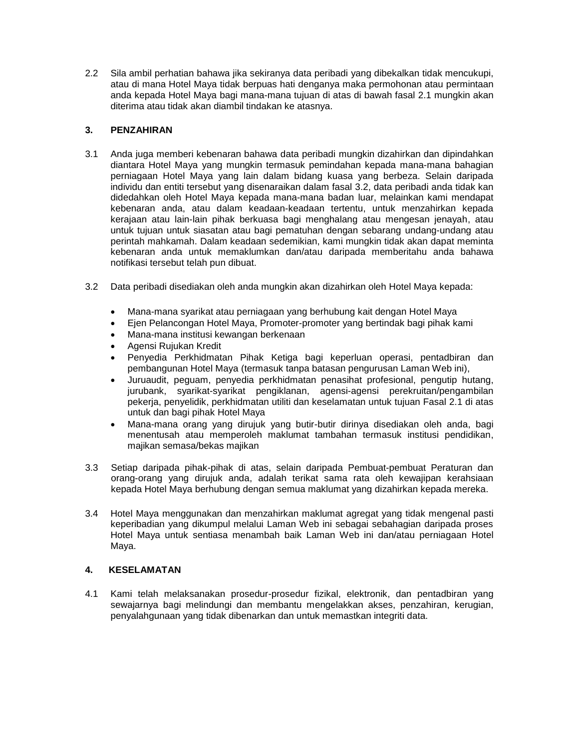2.2 Sila ambil perhatian bahawa jika sekiranya data peribadi yang dibekalkan tidak mencukupi, atau di mana Hotel Maya tidak berpuas hati denganya maka permohonan atau permintaan anda kepada Hotel Maya bagi mana-mana tujuan di atas di bawah fasal 2.1 mungkin akan diterima atau tidak akan diambil tindakan ke atasnya.

# **3. PENZAHIRAN**

- 3.1 Anda juga memberi kebenaran bahawa data peribadi mungkin dizahirkan dan dipindahkan diantara Hotel Maya yang mungkin termasuk pemindahan kepada mana-mana bahagian perniagaan Hotel Maya yang lain dalam bidang kuasa yang berbeza. Selain daripada individu dan entiti tersebut yang disenaraikan dalam fasal 3.2, data peribadi anda tidak kan didedahkan oleh Hotel Maya kepada mana-mana badan luar, melainkan kami mendapat kebenaran anda, atau dalam keadaan-keadaan tertentu, untuk menzahirkan kepada kerajaan atau lain-lain pihak berkuasa bagi menghalang atau mengesan jenayah, atau untuk tujuan untuk siasatan atau bagi pematuhan dengan sebarang undang-undang atau perintah mahkamah. Dalam keadaan sedemikian, kami mungkin tidak akan dapat meminta kebenaran anda untuk memaklumkan dan/atau daripada memberitahu anda bahawa notifikasi tersebut telah pun dibuat.
- 3.2 Data peribadi disediakan oleh anda mungkin akan dizahirkan oleh Hotel Maya kepada:
	- Mana-mana syarikat atau perniagaan yang berhubung kait dengan Hotel Maya
	- Ejen Pelancongan Hotel Maya, Promoter-promoter yang bertindak bagi pihak kami
	- Mana-mana institusi kewangan berkenaan
	- Agensi Rujukan Kredit
	- Penyedia Perkhidmatan Pihak Ketiga bagi keperluan operasi, pentadbiran dan pembangunan Hotel Maya (termasuk tanpa batasan pengurusan Laman Web ini),
	- Juruaudit, peguam, penyedia perkhidmatan penasihat profesional, pengutip hutang, jurubank, syarikat-syarikat pengiklanan, agensi-agensi perekruitan/pengambilan pekerja, penyelidik, perkhidmatan utiliti dan keselamatan untuk tujuan Fasal 2.1 di atas untuk dan bagi pihak Hotel Maya
	- Mana-mana orang yang dirujuk yang butir-butir dirinya disediakan oleh anda, bagi menentusah atau memperoleh maklumat tambahan termasuk institusi pendidikan, majikan semasa/bekas majikan
- 3.3 Setiap daripada pihak-pihak di atas, selain daripada Pembuat-pembuat Peraturan dan orang-orang yang dirujuk anda, adalah terikat sama rata oleh kewajipan kerahsiaan kepada Hotel Maya berhubung dengan semua maklumat yang dizahirkan kepada mereka.
- 3.4 Hotel Maya menggunakan dan menzahirkan maklumat agregat yang tidak mengenal pasti keperibadian yang dikumpul melalui Laman Web ini sebagai sebahagian daripada proses Hotel Maya untuk sentiasa menambah baik Laman Web ini dan/atau perniagaan Hotel Maya.

# **4. KESELAMATAN**

4.1 Kami telah melaksanakan prosedur-prosedur fizikal, elektronik, dan pentadbiran yang sewajarnya bagi melindungi dan membantu mengelakkan akses, penzahiran, kerugian, penyalahgunaan yang tidak dibenarkan dan untuk memastkan integriti data.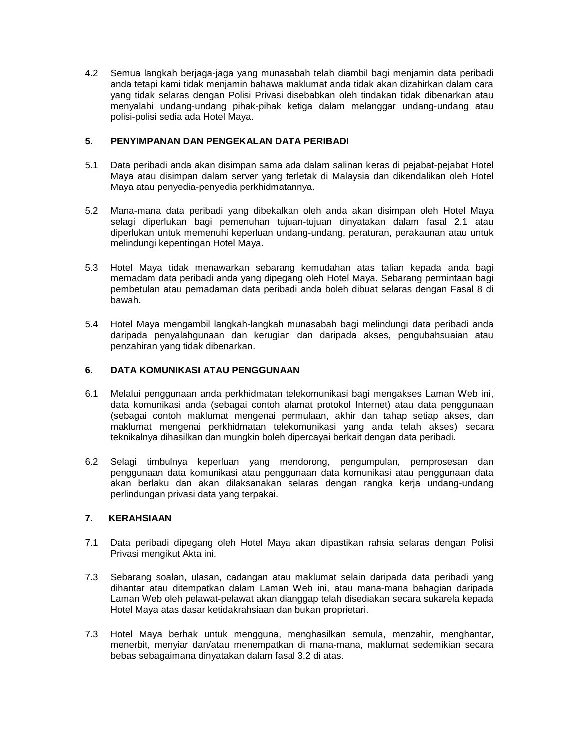4.2 Semua langkah berjaga-jaga yang munasabah telah diambil bagi menjamin data peribadi anda tetapi kami tidak menjamin bahawa maklumat anda tidak akan dizahirkan dalam cara yang tidak selaras dengan Polisi Privasi disebabkan oleh tindakan tidak dibenarkan atau menyalahi undang-undang pihak-pihak ketiga dalam melanggar undang-undang atau polisi-polisi sedia ada Hotel Maya.

# **5. PENYIMPANAN DAN PENGEKALAN DATA PERIBADI**

- 5.1 Data peribadi anda akan disimpan sama ada dalam salinan keras di pejabat-pejabat Hotel Maya atau disimpan dalam server yang terletak di Malaysia dan dikendalikan oleh Hotel Maya atau penyedia-penyedia perkhidmatannya.
- 5.2 Mana-mana data peribadi yang dibekalkan oleh anda akan disimpan oleh Hotel Maya selagi diperlukan bagi pemenuhan tujuan-tujuan dinyatakan dalam fasal 2.1 atau diperlukan untuk memenuhi keperluan undang-undang, peraturan, perakaunan atau untuk melindungi kepentingan Hotel Maya.
- 5.3 Hotel Maya tidak menawarkan sebarang kemudahan atas talian kepada anda bagi memadam data peribadi anda yang dipegang oleh Hotel Maya. Sebarang permintaan bagi pembetulan atau pemadaman data peribadi anda boleh dibuat selaras dengan Fasal 8 di bawah.
- 5.4 Hotel Maya mengambil langkah-langkah munasabah bagi melindungi data peribadi anda daripada penyalahgunaan dan kerugian dan daripada akses, pengubahsuaian atau penzahiran yang tidak dibenarkan.

# **6. DATA KOMUNIKASI ATAU PENGGUNAAN**

- 6.1 Melalui penggunaan anda perkhidmatan telekomunikasi bagi mengakses Laman Web ini, data komunikasi anda (sebagai contoh alamat protokol Internet) atau data penggunaan (sebagai contoh maklumat mengenai permulaan, akhir dan tahap setiap akses, dan maklumat mengenai perkhidmatan telekomunikasi yang anda telah akses) secara teknikalnya dihasilkan dan mungkin boleh dipercayai berkait dengan data peribadi.
- 6.2 Selagi timbulnya keperluan yang mendorong, pengumpulan, pemprosesan dan penggunaan data komunikasi atau penggunaan data komunikasi atau penggunaan data akan berlaku dan akan dilaksanakan selaras dengan rangka kerja undang-undang perlindungan privasi data yang terpakai.

## **7. KERAHSIAAN**

- 7.1 Data peribadi dipegang oleh Hotel Maya akan dipastikan rahsia selaras dengan Polisi Privasi mengikut Akta ini.
- 7.3 Sebarang soalan, ulasan, cadangan atau maklumat selain daripada data peribadi yang dihantar atau ditempatkan dalam Laman Web ini, atau mana-mana bahagian daripada Laman Web oleh pelawat-pelawat akan dianggap telah disediakan secara sukarela kepada Hotel Maya atas dasar ketidakrahsiaan dan bukan proprietari.
- 7.3 Hotel Maya berhak untuk mengguna, menghasilkan semula, menzahir, menghantar, menerbit, menyiar dan/atau menempatkan di mana-mana, maklumat sedemikian secara bebas sebagaimana dinyatakan dalam fasal 3.2 di atas.